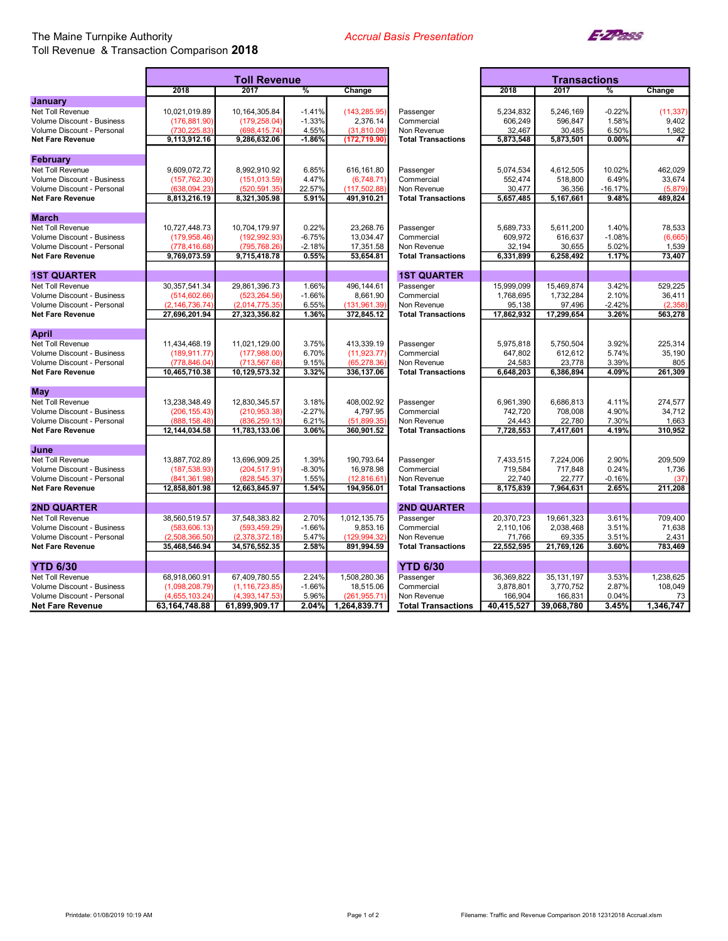## The Maine Turnpike Authority Toll Revenue & Transaction Comparison 2018

Ē

Ŧ.



|                                   | <b>Toll Revenue</b> |                  |          |               |                           | <b>Transactions</b> |              |               |           |
|-----------------------------------|---------------------|------------------|----------|---------------|---------------------------|---------------------|--------------|---------------|-----------|
|                                   | 2018                | 2017             | $\%$     | Change        |                           | 2018                | 2017         | $\frac{9}{6}$ | Change    |
| January                           |                     |                  |          |               |                           |                     |              |               |           |
| Net Toll Revenue                  | 10,021,019.89       | 10,164,305.84    | $-1.41%$ | (143, 285.95) | Passenger                 | 5.234.832           | 5,246,169    | $-0.22%$      | (11, 337) |
| <b>Volume Discount - Business</b> | (176, 881.90)       | (179, 258.04)    | $-1.33%$ | 2,376.14      | Commercial                | 606,249             | 596,847      | 1.58%         | 9,402     |
| Volume Discount - Personal        | (730.225.83)        | (698.415.74      | 4.55%    | (31.810.09)   | Non Revenue               | 32,467              | 30.485       | 6.50%         | 1,982     |
| <b>Net Fare Revenue</b>           | 9,113,912.16        | 9,286,632.06     | $-1.86%$ | (172, 719.90) | <b>Total Transactions</b> | 5,873,548           | 5,873,501    | 0.00%         | 47        |
| February                          |                     |                  |          |               |                           |                     |              |               |           |
| Net Toll Revenue                  | 9,609,072.72        | 8,992,910.92     | 6.85%    | 616,161.80    | Passenger                 | 5,074,534           | 4,612,505    | 10.02%        | 462,029   |
| <b>Volume Discount - Business</b> | (157, 762.30)       | (151, 013.59)    | 4.47%    | (6,748.71)    | Commercial                | 552,474             | 518,800      | 6.49%         | 33,674    |
| Volume Discount - Personal        | (638,094.23)        | (520, 591.35)    | 22.57%   | (117, 502.88) | Non Revenue               | 30,477              | 36,356       | $-16.17%$     | (5, 879)  |
| <b>Net Fare Revenue</b>           | 8,813,216.19        | 8,321,305.98     | 5.91%    | 491,910.21    | <b>Total Transactions</b> | 5,657,485           | 5,167,661    | 9.48%         | 489,824   |
|                                   |                     |                  |          |               |                           |                     |              |               |           |
| March                             |                     |                  |          |               |                           |                     |              |               |           |
| Net Toll Revenue                  | 10,727,448.73       | 10.704.179.97    | 0.22%    | 23,268.76     | Passenger                 | 5.689.733           | 5,611,200    | 1.40%         | 78,533    |
| Volume Discount - Business        | (179, 958.46)       | (192, 992, 93)   | $-6.75%$ | 13,034.47     | Commercial                | 609,972             | 616,637      | $-1.08%$      | (6,665)   |
| Volume Discount - Personal        | (778,416.68         | (795.768.26      | $-2.18%$ | 17,351.58     | Non Revenue               | 32,194              | 30,655       | 5.02%         | 1,539     |
| <b>Net Fare Revenue</b>           | 9,769,073.59        | 9,715,418.78     | 0.55%    | 53,654.81     | <b>Total Transactions</b> | 6,331,899           | 6,258,492    | 1.17%         | 73,407    |
| <b>1ST QUARTER</b>                |                     |                  |          |               | <b>1ST QUARTER</b>        |                     |              |               |           |
| Net Toll Revenue                  | 30, 357, 541. 34    | 29,861,396.73    | 1.66%    | 496,144.61    | Passenger                 | 15,999,099          | 15,469,874   | 3.42%         | 529,225   |
| <b>Volume Discount - Business</b> | (514, 602.66)       | (523, 264.56)    | $-1.66%$ | 8.661.90      | Commercial                | 1,768,695           | 1,732,284    | 2.10%         | 36,411    |
| Volume Discount - Personal        | (2, 146, 736.74)    | (2,014,775.35)   | 6.55%    | (131, 961.39) | Non Revenue               | 95,138              | 97,496       | $-2.42%$      | (2, 358)  |
| <b>Net Fare Revenue</b>           | 27,696,201.94       | 27,323,356.82    | 1.36%    | 372,845.12    | <b>Total Transactions</b> | 17,862,932          | 17,299,654   | 3.26%         | 563,278   |
|                                   |                     |                  |          |               |                           |                     |              |               |           |
| April                             |                     |                  |          |               |                           |                     |              |               |           |
| Net Toll Revenue                  | 11,434,468.19       | 11,021,129.00    | 3.75%    | 413,339.19    | Passenger                 | 5,975,818           | 5,750,504    | 3.92%         | 225,314   |
| Volume Discount - Business        | (189, 911.77)       | (177,988.00)     | 6.70%    | (11, 923.77)  | Commercial                | 647,802             | 612,612      | 5.74%         | 35,190    |
| Volume Discount - Personal        | (778,846.04)        | (713.567.68      | 9.15%    | (65, 278.36)  | Non Revenue               | 24,583              | 23,778       | 3.39%         | 805       |
| <b>Net Fare Revenue</b>           | 10,465,710.38       | 10,129,573.32    | 3.32%    | 336,137.06    | <b>Total Transactions</b> | 6,648,203           | 6,386,894    | 4.09%         | 261,309   |
| <b>May</b>                        |                     |                  |          |               |                           |                     |              |               |           |
| Net Toll Revenue                  | 13,238,348.49       | 12,830,345.57    | 3.18%    | 408,002.92    | Passenger                 | 6,961,390           | 6,686,813    | 4.11%         | 274,577   |
| Volume Discount - Business        | (206, 155.43)       | (210, 953.38)    | $-2.27%$ | 4,797.95      | Commercial                | 742,720             | 708,008      | 4.90%         | 34,712    |
| Volume Discount - Personal        | (888, 158.48)       | (836,259.13)     | 6.21%    | (51,899.35)   | Non Revenue               | 24,443              | 22,780       | 7.30%         | 1,663     |
| <b>Net Fare Revenue</b>           | 12.144.034.58       | 11,783,133.06    | 3.06%    | 360,901.52    | <b>Total Transactions</b> | 7,728,553           | 7,417,601    | 4.19%         | 310,952   |
|                                   |                     |                  |          |               |                           |                     |              |               |           |
| June                              |                     |                  |          |               |                           |                     |              |               |           |
| Net Toll Revenue                  | 13,887,702.89       | 13,696,909.25    | 1.39%    | 190,793.64    | Passenger                 | 7,433,515           | 7,224,006    | 2.90%         | 209,509   |
| Volume Discount - Business        | (187, 538.93)       | (204, 517.91)    | $-8.30%$ | 16,978.98     | Commercial                | 719,584             | 717,848      | 0.24%         | 1,736     |
| Volume Discount - Personal        | (841,361.98)        | (828,545.37      | 1.55%    | (12, 816.61)  | Non Revenue               | 22,740              | 22,777       | $-0.16%$      | (37)      |
| <b>Net Fare Revenue</b>           | 12,858,801.98       | 12,663,845.97    | 1.54%    | 194,956.01    | <b>Total Transactions</b> | 8,175,839           | 7,964,631    | 2.65%         | 211,208   |
| <b>2ND QUARTER</b>                |                     |                  |          |               | <b>2ND QUARTER</b>        |                     |              |               |           |
| Net Toll Revenue                  | 38,560,519.57       | 37,548,383.82    | 2.70%    | 1,012,135.75  | Passenger                 | 20,370,723          | 19,661,323   | 3.61%         | 709,400   |
| Volume Discount - Business        | (583, 606.13)       | (593, 459.29)    | $-1.66%$ | 9,853.16      | Commercial                | 2,110,106           | 2,038,468    | 3.51%         | 71,638    |
| Volume Discount - Personal        | (2,508,366.50)      | (2,378,372.18)   | 5.47%    | (129, 994.32) | Non Revenue               | 71,766              | 69,335       | 3.51%         | 2,431     |
| <b>Net Fare Revenue</b>           | 35,468,546.94       | 34,576,552.35    | 2.58%    | 891,994.59    | <b>Total Transactions</b> | 22,552,595          | 21,769,126   | 3.60%         | 783,469   |
|                                   |                     |                  |          |               |                           |                     |              |               |           |
| <b>YTD 6/30</b>                   |                     |                  |          |               | <b>YTD 6/30</b>           |                     |              |               |           |
| <b>Net Toll Revenue</b>           | 68,918,060.91       | 67,409,780.55    | 2.24%    | 1,508,280.36  | Passenger                 | 36,369,822          | 35, 131, 197 | 3.53%         | 1,238,625 |
| <b>Volume Discount - Business</b> | (1,098,208.79)      | (1, 116, 723.85) | $-1.66%$ | 18,515.06     | Commercial                | 3,878,801           | 3,770,752    | 2.87%         | 108,049   |
| Volume Discount - Personal        | (4,655,103.24       | (4,393,147.53    | 5.96%    | (261, 955.71) | Non Revenue               | 166,904             | 166,831      | 0.04%         | 73        |
| <b>Net Fare Revenue</b>           | 63,164,748.88       | 61,899,909.17    | 2.04%    | 1,264,839.71  | <b>Total Transactions</b> | 40,415,527          | 39,068,780   | 3.45%         | 1,346,747 |